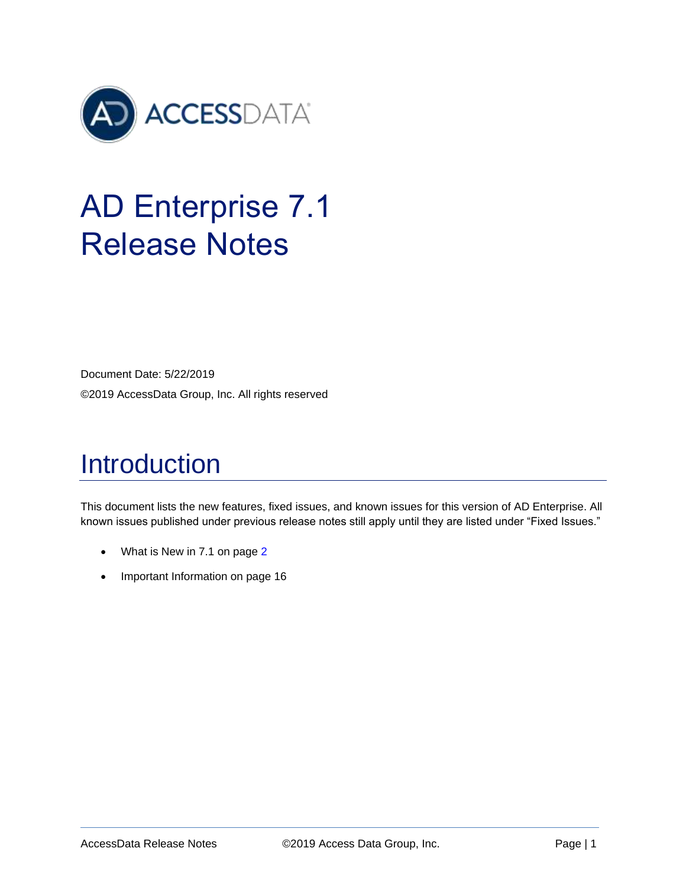

# AD Enterprise 7.1 Release Notes

Document Date: 5/22/2019 ©2019 AccessData Group, Inc. All rights reserved

# Introduction

This document lists the new features, fixed issues, and known issues for this version of AD Enterprise. All known issues published under previous release notes still apply until they are listed under "Fixed Issues."

- [What is New in 7.1](#page-1-0) on page 2
- [Important Information](#page-15-0) on pag[e 16](#page-15-0)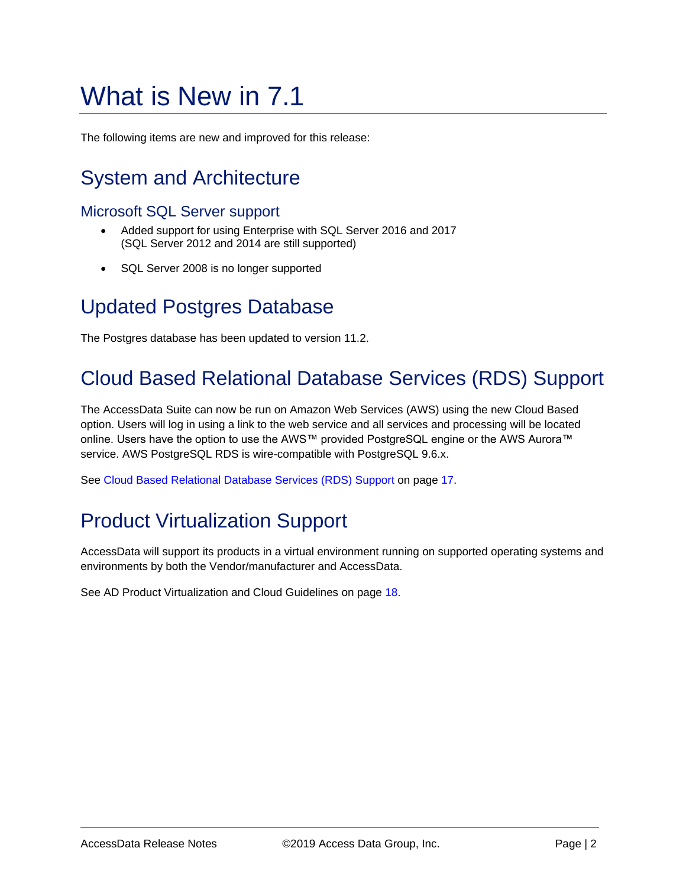# <span id="page-1-0"></span>What is New in 7.1

The following items are new and improved for this release:

## System and Architecture

### Microsoft SQL Server support

- Added support for using Enterprise with SQL Server 2016 and 2017 (SQL Server 2012 and 2014 are still supported)
- SQL Server 2008 is no longer supported

### Updated Postgres Database

The Postgres database has been updated to version 11.2.

## Cloud Based Relational Database Services (RDS) Support

The AccessData Suite can now be run on Amazon Web Services (AWS) using the new Cloud Based option. Users will log in using a link to the web service and all services and processing will be located online. Users have the option to use the AWS™ provided PostgreSQL engine or the AWS Aurora™ service. AWS PostgreSQL RDS is wire-compatible with PostgreSQL 9.6.x.

See [Cloud Based Relational Database Services \(RDS\) Support](#page-16-0) on page [17.](#page-16-0)

## Product Virtualization Support

AccessData will support its products in a virtual environment running on supported operating systems and environments by both the Vendor/manufacturer and AccessData.

See [AD Product Virtualization and Cloud Guidelines](#page-17-0) on page [18.](#page-17-0)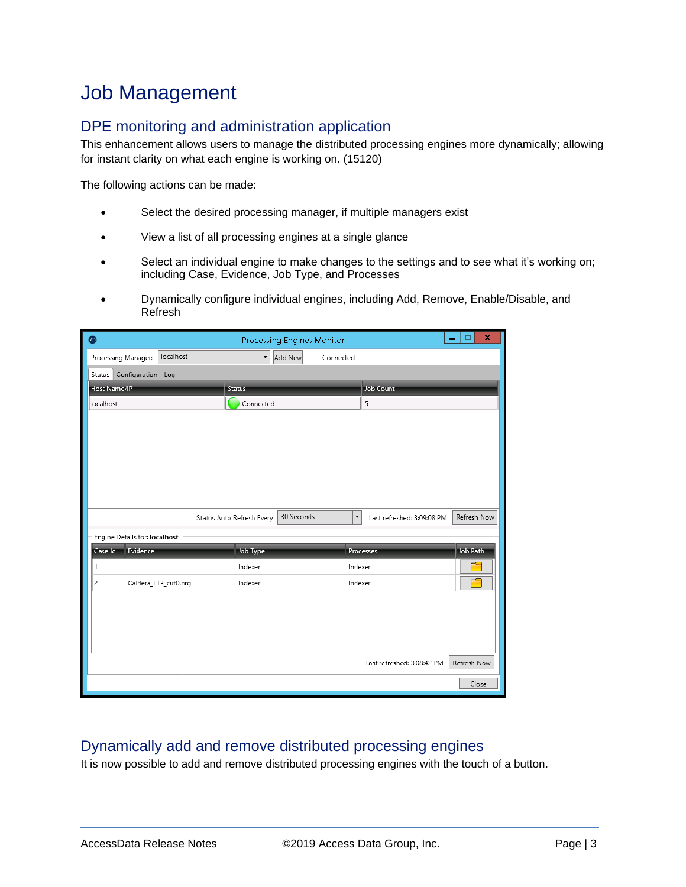### Job Management

### DPE monitoring and administration application

This enhancement allows users to manage the distributed processing engines more dynamically; allowing for instant clarity on what each engine is working on. (15120)

The following actions can be made:

- Select the desired processing manager, if multiple managers exist
- View a list of all processing engines at a single glance
- Select an individual engine to make changes to the settings and to see what it's working on; including Case, Evidence, Job Type, and Processes
- Dynamically configure individual engines, including Add, Remove, Enable/Disable, and Refresh

| $\bullet$                     |                      |                                     | Processing Engines Monitor |                      |                            | x<br>۰<br>- |
|-------------------------------|----------------------|-------------------------------------|----------------------------|----------------------|----------------------------|-------------|
| Processing Manager:           | localhost            | $\overline{\phantom{a}}$<br>Add New |                            | Connected            |                            |             |
| Configuration Log<br>Status   |                      |                                     |                            |                      |                            |             |
| Host Name/IP                  |                      | Status                              |                            |                      | <b>Job Count</b>           |             |
| localhost                     |                      | Connected                           |                            | 5                    |                            |             |
|                               |                      |                                     |                            |                      |                            |             |
|                               |                      |                                     |                            |                      |                            |             |
|                               |                      |                                     |                            |                      |                            |             |
|                               |                      |                                     |                            |                      |                            |             |
|                               |                      |                                     |                            |                      |                            |             |
|                               |                      |                                     |                            |                      |                            |             |
|                               |                      | Status Auto Refresh Every           | 30 Seconds                 | $\blacktriangledown$ | Last refreshed: 3:09:08 PM | Refresh Now |
| Engine Details for: localhost |                      |                                     |                            |                      |                            |             |
| Evidence<br>Case Id           |                      | Job Type                            |                            | Processes            |                            | Job Path    |
| 1                             |                      | Indexer                             |                            | Indexer              |                            |             |
| 2                             | Caldera_LTP_cut0.nrg | Indexer                             |                            | Indexer              |                            |             |
|                               |                      |                                     |                            |                      |                            |             |
|                               |                      |                                     |                            |                      |                            |             |
|                               |                      |                                     |                            |                      |                            |             |
|                               |                      |                                     |                            |                      |                            |             |
|                               |                      |                                     |                            |                      | Last refreshed: 3:08:42 PM | Refresh Now |
|                               |                      |                                     |                            |                      |                            | Close       |

### Dynamically add and remove distributed processing engines

It is now possible to add and remove distributed processing engines with the touch of a button.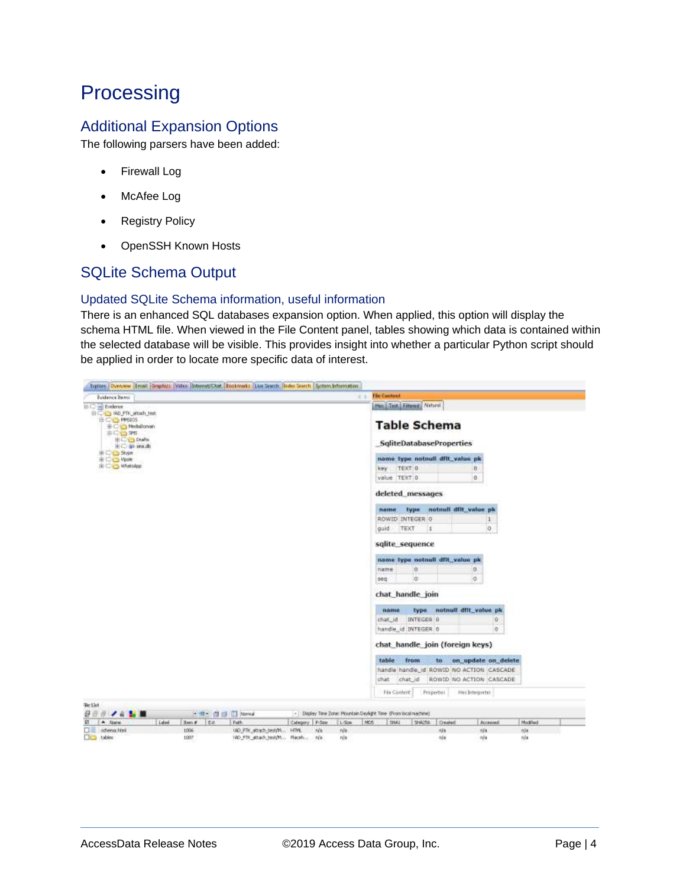### **Processing**

### Additional Expansion Options

The following parsers have been added:

- Firewall Log
- McAfee Log
- Registry Policy
- OpenSSH Known Hosts

### SQLite Schema Output

#### Updated SQLite Schema information, useful information

There is an enhanced SQL databases expansion option. When applied, this option will display the schema HTML file. When viewed in the File Content panel, tables showing which data is contained within the selected database will be visible. This provides insight into whether a particular Python script should be applied in order to locate more specific data of interest.

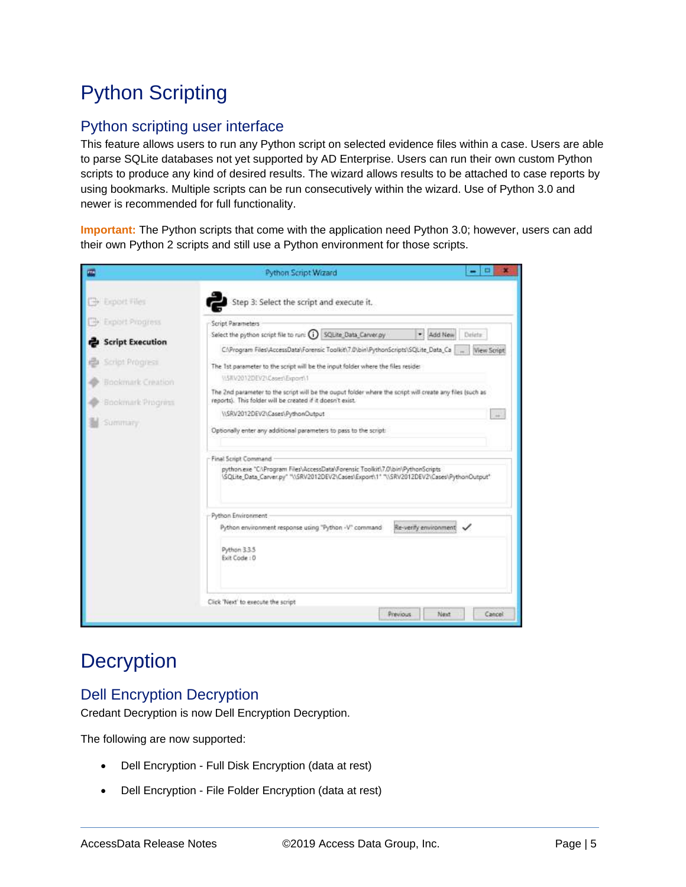## Python Scripting

### Python scripting user interface

This feature allows users to run any Python script on selected evidence files within a case. Users are able to parse SQLite databases not yet supported by AD Enterprise. Users can run their own custom Python scripts to produce any kind of desired results. The wizard allows results to be attached to case reports by using bookmarks. Multiple scripts can be run consecutively within the wizard. Use of Python 3.0 and newer is recommended for full functionality.

**Important:** The Python scripts that come with the application need Python 3.0; however, users can add their own Python 2 scripts and still use a Python environment for those scripts.

| m                       | Python Script Wizard                                                                                                                                                                          |
|-------------------------|-----------------------------------------------------------------------------------------------------------------------------------------------------------------------------------------------|
| <b>B</b> Export Files   | Step 3: Select the script and execute it.                                                                                                                                                     |
| Exploit Progress        | Script Parameters                                                                                                                                                                             |
| <b>Script Execution</b> | Select the python script file to run: (i) SQLite Data Carver py<br>۰<br>Add New<br>Delete<br>C:\Program Files\AccessData\Forensic Toolkit\7.0\bin\PythonScripts\SQLite_Data_Ca<br>View Script |
| Script Progress         | The 1st parameter to the script will be the input folder where the files reside:                                                                                                              |
| Bookmark Creation       | USRV2012DEV2\Cases\Export\1                                                                                                                                                                   |
| Bookmark Progress       | The 2nd parameter to the script will be the ouput folder where the script will create any files (such as<br>reports). This folder will be created if it doesn't exist.                        |
|                         | \\\$RV2012DEV2\Cases\PythonDutput<br><b>U</b>                                                                                                                                                 |
| Summary                 | Optionally enter any additional parameters to pass to the script:                                                                                                                             |
|                         | Final Script Command                                                                                                                                                                          |
|                         | python.exe "CAProgram Files\AccessData\Forensic Toolkit\7.0\bin\PythonScripts<br>1SQLite_Data_Carver.py" "\\SRV2012DEV2\Cases\Export\1" "\\SRV2012DEV2\Cases\PythonOutput"                    |
|                         | Python Environment                                                                                                                                                                            |
|                         | Re-verify environment<br>Python environment response using "Python -V" command                                                                                                                |
|                         | Python 3.3.5<br>Exit Code : 0                                                                                                                                                                 |
|                         | Click 'Next' to execute the script                                                                                                                                                            |
|                         | Previous<br>Next<br>Cancel                                                                                                                                                                    |

### **Decryption**

### Dell Encryption Decryption

Credant Decryption is now Dell Encryption Decryption.

The following are now supported:

- Dell Encryption Full Disk Encryption (data at rest)
- Dell Encryption File Folder Encryption (data at rest)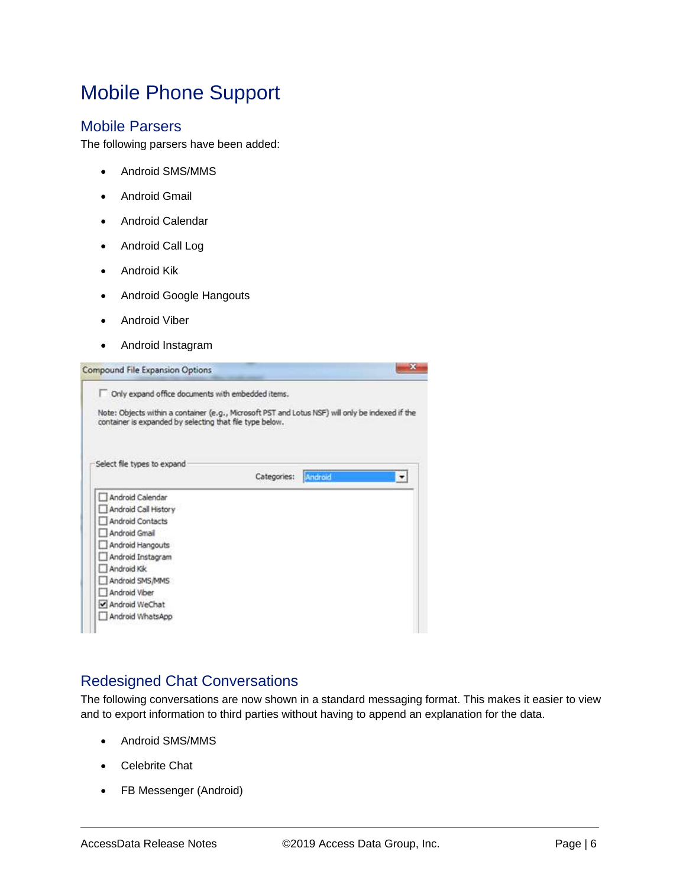## Mobile Phone Support

#### Mobile Parsers

The following parsers have been added:

- Android SMS/MMS
- Android Gmail
- Android Calendar
- Android Call Log
- Android Kik
- Android Google Hangouts
- Android Viber
- Android Instagram

| <b>Compound File Expansion Options</b>                   | ×                                                                                                |
|----------------------------------------------------------|--------------------------------------------------------------------------------------------------|
| Only expand office documents with embedded items.        |                                                                                                  |
| container is expanded by selecting that file type below. | Note: Objects within a container (e.g., Microsoft PST and Lotus NSF) will only be indexed if the |
| Select file types to expand                              |                                                                                                  |
|                                                          | Categories:<br>Android                                                                           |
| Android Calendar                                         |                                                                                                  |
| Android Call History                                     |                                                                                                  |
| Android Contacts                                         |                                                                                                  |
| Android Gmail                                            |                                                                                                  |
| Android Hangouts                                         |                                                                                                  |
| Android Instagram                                        |                                                                                                  |
| Android Kik                                              |                                                                                                  |
| Android SMS/MMS                                          |                                                                                                  |
| Android Viber                                            |                                                                                                  |
| Android WeChat                                           |                                                                                                  |
|                                                          |                                                                                                  |

#### Redesigned Chat Conversations

The following conversations are now shown in a standard messaging format. This makes it easier to view and to export information to third parties without having to append an explanation for the data.

- Android SMS/MMS
- Celebrite Chat
- FB Messenger (Android)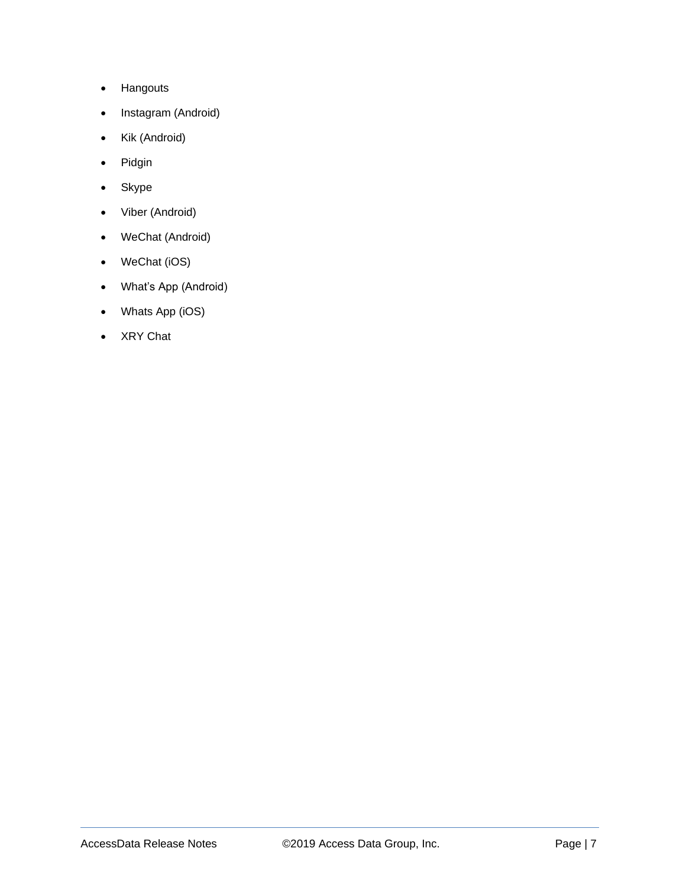- Hangouts
- Instagram (Android)
- Kik (Android)
- Pidgin
- Skype
- Viber (Android)
- WeChat (Android)
- WeChat (iOS)
- What's App (Android)
- Whats App (iOS)
- XRY Chat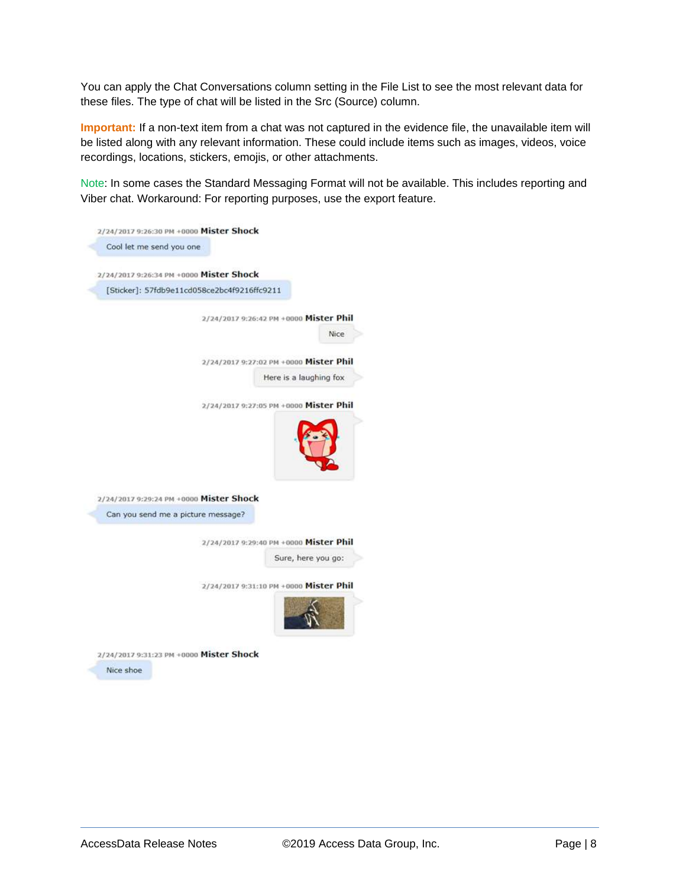You can apply the Chat Conversations column setting in the File List to see the most relevant data for these files. The type of chat will be listed in the Src (Source) column.

**Important:** If a non-text item from a chat was not captured in the evidence file, the unavailable item will be listed along with any relevant information. These could include items such as images, videos, voice recordings, locations, stickers, emojis, or other attachments.

Note: In some cases the Standard Messaging Format will not be available. This includes reporting and Viber chat. Workaround: For reporting purposes, use the export feature.

|                                         | 2/24/2017 9:26:30 PM +0000 Mister Shock                      |
|-----------------------------------------|--------------------------------------------------------------|
| Cool let me send you one                |                                                              |
| 2/24/2017 9:26:34 PM +0000 Mister Shock |                                                              |
|                                         | [Sticker]: 57fdb9e11cd058ce2bc4f9216ffc9211                  |
|                                         | 2/24/2017 9:26:42 PM +0000 Mister Phil                       |
|                                         | Nice                                                         |
|                                         | 2/24/2017 9:27:02 PM +0000 Mister Phil                       |
|                                         | Here is a laughing fox                                       |
|                                         | 2/24/2017 9:27:05 PM +0000 Mister Phil                       |
| 2/24/2017 9:29:24 PM +0000 Mister Shock |                                                              |
| Can you send me a picture message?      |                                                              |
|                                         |                                                              |
|                                         | 2/24/2017 9:29:40 PM +0000 Mister Phil<br>Sure, here you go: |
|                                         | 2/24/2017 9:31:10 PM +0000 Mister Phil                       |
|                                         |                                                              |

Nice shoe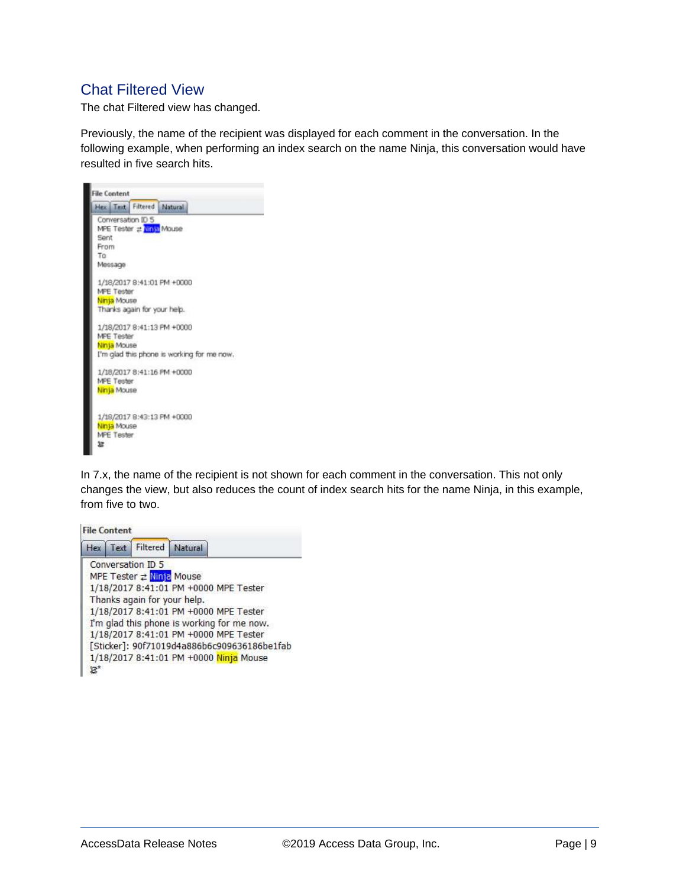### Chat Filtered View

The chat Filtered view has changed.

Previously, the name of the recipient was displayed for each comment in the conversation. In the following example, when performing an index search on the name Ninja, this conversation would have resulted in five search hits.



In 7.x, the name of the recipient is not shown for each comment in the conversation. This not only changes the view, but also reduces the count of index search hits for the name Ninja, in this example, from five to two.

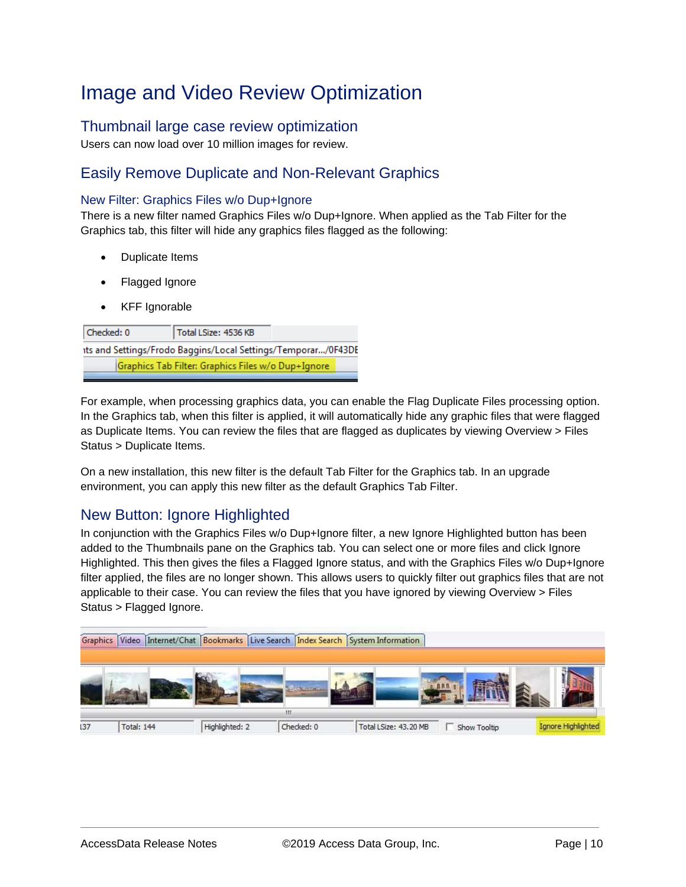## Image and Video Review Optimization

#### Thumbnail large case review optimization

Users can now load over 10 million images for review.

#### Easily Remove Duplicate and Non-Relevant Graphics

#### New Filter: Graphics Files w/o Dup+Ignore

There is a new filter named Graphics Files w/o Dup+Ignore. When applied as the Tab Filter for the Graphics tab, this filter will hide any graphics files flagged as the following:

- Duplicate Items
- Flagged Ignore
- KFF Ignorable

| Checked: 0 | Total LSize: 4536 KB                                          |  |
|------------|---------------------------------------------------------------|--|
|            | its and Settings/Frodo Baggins/Local Settings/Temporar/0F43DE |  |
|            | Graphics Tab Filter: Graphics Files w/o Dup+Ignore            |  |

For example, when processing graphics data, you can enable the Flag Duplicate Files processing option. In the Graphics tab, when this filter is applied, it will automatically hide any graphic files that were flagged as Duplicate Items. You can review the files that are flagged as duplicates by viewing Overview > Files Status > Duplicate Items.

On a new installation, this new filter is the default Tab Filter for the Graphics tab. In an upgrade environment, you can apply this new filter as the default Graphics Tab Filter.

#### New Button: Ignore Highlighted

In conjunction with the Graphics Files w/o Dup+Ignore filter, a new Ignore Highlighted button has been added to the Thumbnails pane on the Graphics tab. You can select one or more files and click Ignore Highlighted. This then gives the files a Flagged Ignore status, and with the Graphics Files w/o Dup+Ignore filter applied, the files are no longer shown. This allows users to quickly filter out graphics files that are not applicable to their case. You can review the files that you have ignored by viewing Overview > Files Status > Flagged Ignore.

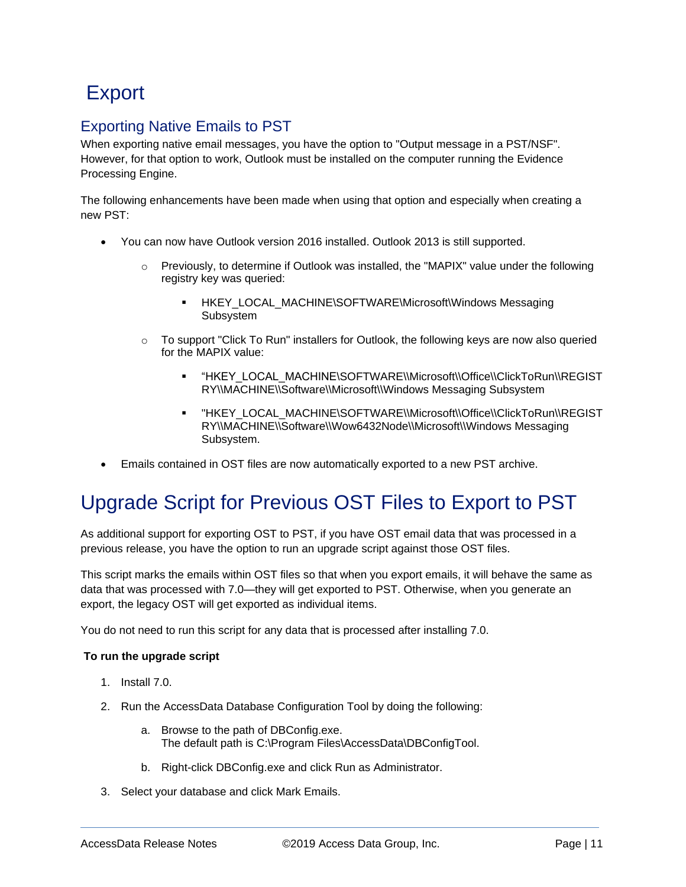## **Export**

### Exporting Native Emails to PST

When exporting native email messages, you have the option to "Output message in a PST/NSF". However, for that option to work, Outlook must be installed on the computer running the Evidence Processing Engine.

The following enhancements have been made when using that option and especially when creating a new PST:

- You can now have Outlook version 2016 installed. Outlook 2013 is still supported.
	- $\circ$  Previously, to determine if Outlook was installed, the "MAPIX" value under the following registry key was queried:
		- HKEY\_LOCAL\_MACHINE\SOFTWARE\Microsoft\Windows Messaging Subsystem
	- $\circ$  To support "Click To Run" installers for Outlook, the following keys are now also queried for the MAPIX value:
		- "HKEY\_LOCAL\_MACHINE\SOFTWARE\\Microsoft\\Office\\ClickToRun\\REGIST RY\\MACHINE\\Software\\Microsoft\\Windows Messaging Subsystem
		- "HKEY\_LOCAL\_MACHINE\SOFTWARE\\Microsoft\\Office\\ClickToRun\\REGIST RY\\MACHINE\\Software\\Wow6432Node\\Microsoft\\Windows Messaging Subsystem.
- Emails contained in OST files are now automatically exported to a new PST archive.

## Upgrade Script for Previous OST Files to Export to PST

As additional support for exporting OST to PST, if you have OST email data that was processed in a previous release, you have the option to run an upgrade script against those OST files.

This script marks the emails within OST files so that when you export emails, it will behave the same as data that was processed with 7.0—they will get exported to PST. Otherwise, when you generate an export, the legacy OST will get exported as individual items.

You do not need to run this script for any data that is processed after installing 7.0.

#### **To run the upgrade script**

- 1. Install 7.0.
- 2. Run the AccessData Database Configuration Tool by doing the following:
	- a. Browse to the path of DBConfig.exe. The default path is C:\Program Files\AccessData\DBConfigTool.
	- b. Right-click DBConfig.exe and click Run as Administrator.
- 3. Select your database and click Mark Emails.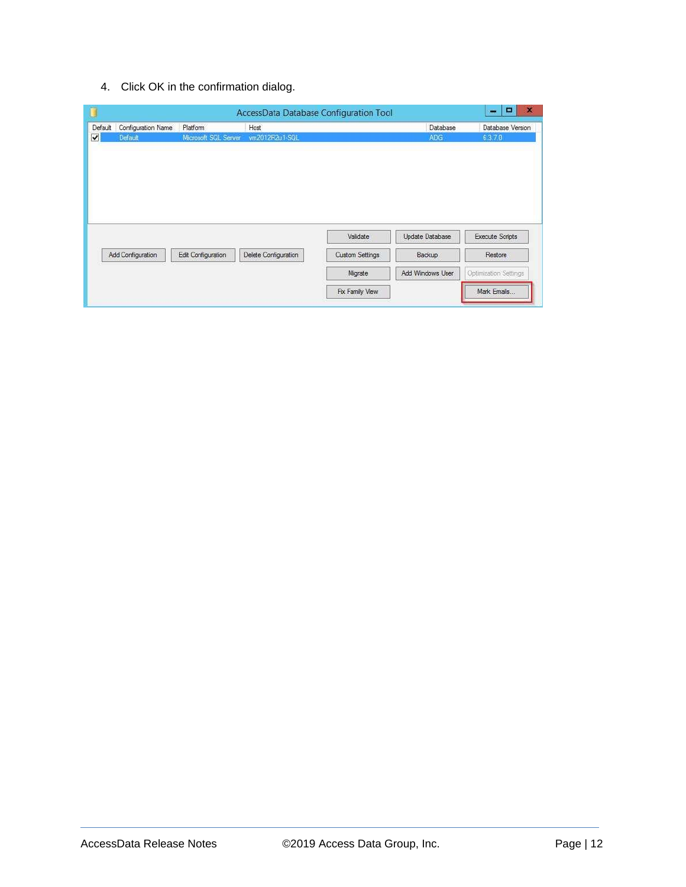4. Click OK in the confirmation dialog.

| Default | Configuration Name | Platform             | Host                 |                        | Database         | Database Version       |
|---------|--------------------|----------------------|----------------------|------------------------|------------------|------------------------|
|         | Default            | Microsoft SQL Server | vm2012R2u1-SQL       |                        | <b>ADG</b>       | 6.3.7.0                |
|         |                    |                      |                      |                        |                  |                        |
|         |                    |                      |                      | Validate               | Update Database  | <b>Execute Scripts</b> |
|         | Add Configuration  | Edit Configuration   | Delete Configuration | <b>Custom Settings</b> | Backup           | Restore                |
|         |                    |                      |                      | Migrate                | Add Windows User | Optimization Settings  |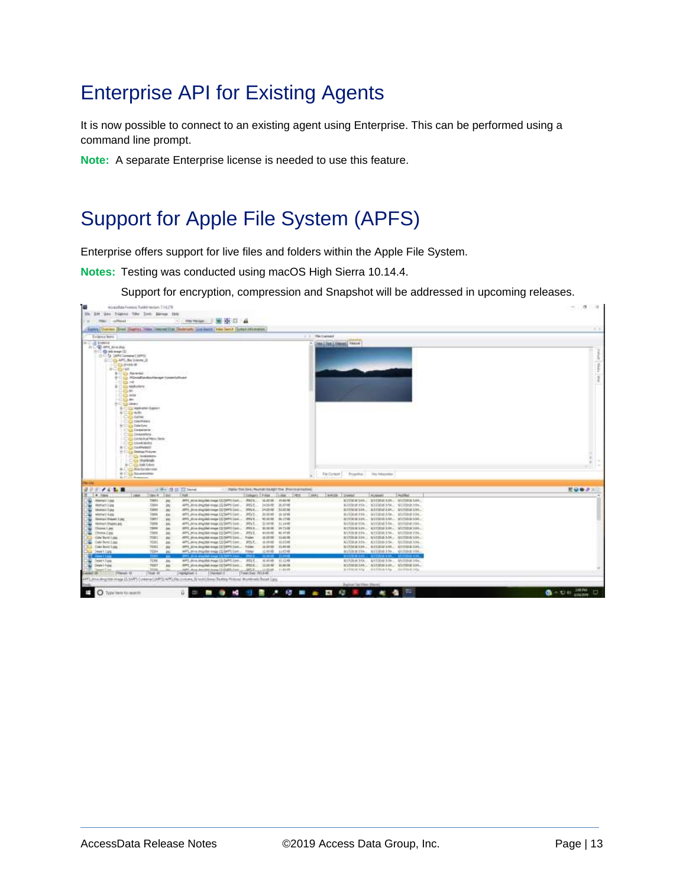## Enterprise API for Existing Agents

It is now possible to connect to an existing agent using Enterprise. This can be performed using a command line prompt.

**Note:** A separate Enterprise license is needed to use this feature.

## Support for Apple File System (APFS)

Enterprise offers support for live files and folders within the Apple File System.

**Notes:** Testing was conducted using macOS High Sierra 10.14.4.

Support for encryption, compression and Snapshot will be addressed in upcoming releases.

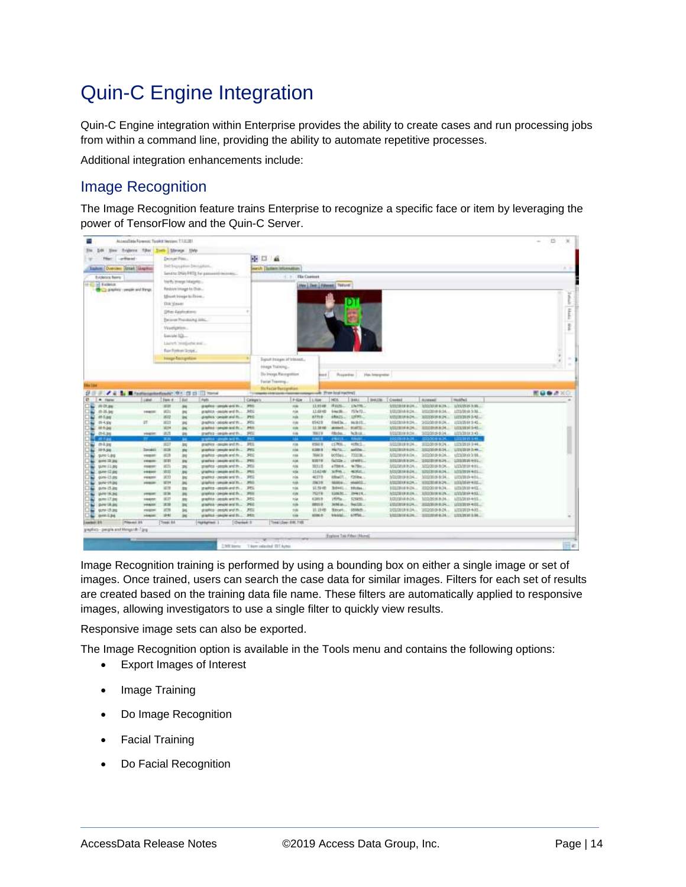## Quin-C Engine Integration

Quin-C Engine integration within Enterprise provides the ability to create cases and run processing jobs from within a command line, providing the ability to automate repetitive processes.

Additional integration enhancements include:

### Image Recognition

The Image Recognition feature trains Enterprise to recognize a specific face or item by leveraging the power of TensorFlow and the Quin-C Server.

|                                                            | Associated Assembly Tusike Version, T.T.I.L.B.I. |                                   |                                                         |            |                                            |                                  |                                      |                       |                                                     |                                                 | $\Box$          |
|------------------------------------------------------------|--------------------------------------------------|-----------------------------------|---------------------------------------------------------|------------|--------------------------------------------|----------------------------------|--------------------------------------|-----------------------|-----------------------------------------------------|-------------------------------------------------|-----------------|
| line follows fiber Dath Menge 1960<br>$-44$                |                                                  |                                   |                                                         |            |                                            |                                  |                                      |                       |                                                     |                                                 |                 |
| <b>Landfriend</b><br><b>Filipin</b>                        |                                                  | December Plan.                    |                                                         |            | 中口 森                                       |                                  |                                      |                       |                                                     |                                                 |                 |
| Easton: Overview Dinast Giogenia:                          |                                                  | Daily England allows Developments |                                                         |            | <b>Arch Dollars Internation</b>            |                                  |                                      |                       |                                                     |                                                 |                 |
|                                                            |                                                  |                                   | liared to: DNA//FRTE For password conversi-             |            | C. J. The Content                          |                                  |                                      |                       |                                                     |                                                 |                 |
| Evideoce hams:                                             |                                                  | Yerth Image Integrity.            |                                                         |            |                                            |                                  |                                      |                       |                                                     |                                                 |                 |
| of a balletin<br>the Co. prophety - people and french      |                                                  | Restore Image to Clvin            |                                                         |            |                                            | <b>Hot Line Literant Terure:</b> |                                      |                       |                                                     |                                                 |                 |
|                                                            |                                                  | Mount transports from             |                                                         |            |                                            |                                  |                                      |                       |                                                     |                                                 |                 |
|                                                            |                                                  |                                   |                                                         |            |                                            |                                  |                                      |                       |                                                     |                                                 |                 |
|                                                            | Did Year                                         |                                   |                                                         |            |                                            |                                  |                                      |                       |                                                     |                                                 |                 |
|                                                            |                                                  | (May Assistant                    |                                                         |            |                                            |                                  |                                      |                       |                                                     |                                                 |                 |
|                                                            |                                                  | Ferrore Prosteo at total          |                                                         |            |                                            |                                  |                                      |                       |                                                     |                                                 |                 |
|                                                            |                                                  | Viselgrin-                        |                                                         |            |                                            |                                  |                                      |                       |                                                     |                                                 |                 |
|                                                            |                                                  | EveryWe 1QL                       |                                                         |            |                                            |                                  |                                      |                       |                                                     |                                                 |                 |
|                                                            |                                                  |                                   |                                                         |            |                                            |                                  |                                      |                       |                                                     |                                                 |                 |
|                                                            |                                                  | Listert Wellsche and              |                                                         |            |                                            |                                  |                                      |                       |                                                     |                                                 |                 |
|                                                            |                                                  | Ray Porker/Script                 |                                                         |            |                                            |                                  |                                      |                       |                                                     |                                                 |                 |
|                                                            |                                                  | <b>Intege Raccipetion</b>         |                                                         |            | Eignatt Images of Interest                 |                                  |                                      |                       |                                                     |                                                 | ×               |
|                                                            |                                                  |                                   |                                                         |            | Hings Tialving                             |                                  |                                      |                       |                                                     |                                                 |                 |
|                                                            |                                                  |                                   |                                                         |            | <b>Ho Intege Racegotten</b>                |                                  | <b>Boot Properties Han Imagement</b> |                       |                                                     |                                                 |                 |
|                                                            |                                                  |                                   |                                                         |            |                                            |                                  |                                      |                       |                                                     |                                                 |                 |
| <b>Elia Stat</b>                                           |                                                  |                                   |                                                         |            | Facial Training                            |                                  |                                      |                       |                                                     |                                                 |                 |
| / E & Minnesometrade for its of this way<br>提示法            |                                                  |                                   |                                                         |            | <b>Bifuce Stroystan</b>                    | <b>Tree local nummer</b>         |                                      |                       |                                                     |                                                 | <b>图目数点</b> 300 |
| Lake<br>$4.198\%$                                          | Two r                                            | 14st                              | Auti                                                    | Calegary   | P-Size<br>$L$ files                        | HOS                              | <b>B482</b>                          | <b>BALSE EQUARE</b>   | Aussei                                              | mathel                                          |                 |
| WDLee                                                      | ista                                             | m                                 | premise completed thru 250                              |            | 12,33.08<br>via                            | (Fatch)                          | DVR.                                 |                       | устронное просудать проседения.                     |                                                 |                 |
| 后远加                                                        | wh:<br><b>HNIE</b>                               | m                                 | problem -people and th                                  | 366        | 12,6948<br>ria                             | Startin.                         | 19410.                               | <b>MEEDING A-SK.C</b> |                                                     | MINIMUM  100/818 EM.                            |                 |
| 01-7.8%                                                    | 3822                                             | m                                 | graphics - people and Hu-                               | <b>PHO</b> | <b>Vilk</b><br>37718                       |                                  | ABAZEL LIFTEL                        |                       | 3222018824. 3222018824. 12232019.54L                |                                                 |                 |
| <b>IT</b><br>29-4.306                                      | 3813<br><b>HEST</b>                              | 3H<br>m                           | greathest - become wret this  9451                      |            | $+48$<br><b>15422</b>                      |                                  | Owlls., subtt.,                      |                       | 1010/04/05  3010/01/639  1/2/25/01/42               |                                                 |                 |
| All Builds                                                 |                                                  |                                   |                                                         |            |                                            |                                  |                                      |                       |                                                     |                                                 |                 |
|                                                            |                                                  |                                   |                                                         |            | <b>Vide</b><br>12.3810                     |                                  | <b>MANAS BLUTE</b>                   |                       | MOSTRADA ESSIGNASA LISTORIANA.                      |                                                 |                 |
| 014.35                                                     | in in<br><b>HARDE</b>                            | 198                               | grams a - people and thus - SPEE                        |            | <b>FIRE</b><br><b>MAY H</b><br><b>AART</b> |                                  | Hole: N.B.I.E.                       |                       | MIDDIG ROLL NIGHTS SERVICES OF                      |                                                 |                 |
|                                                            | ш                                                |                                   | minister specialistics.<br>graphics - gauges and m  94% |            | <b>4580 m</b>                              | 49411<br>et/Will                 | 4150/1.                              | MODIALS 9:24          | H102019-02K  12232819-2-44                          |                                                 |                 |
| 普多加<br>101.54                                              | 3117<br>1022<br><b>Decadil</b>                   | 104<br><b>SHE</b>                 | graphic people and the  (PPS                            |            | <b>YAB</b><br>via<br>4000 W                | <b>HATILL</b>                    | astra.                               |                       | 3/22/2010 0:24  2/22/2010 0:24  1/23/2010 0:44      |                                                 |                 |
| guns L.gg                                                  | 1028<br><b>HEIGHT</b>                            | $\Rightarrow$                     | market -pook and fit 300                                |            | <b>SALE</b><br>168                         |                                  | 605561 75023K                        |                       | 3/22/2010 Fr (ALL 3/22/2019 0:24, 12/23/2010 2:35). |                                                 |                 |
| <b>GOVE 22 201</b>                                         | 10.01<br>194810                                  | <b>PH</b>                         | predict considered that PEC                             |            | <b>Vilk</b><br><b>SISTE:</b>               |                                  | fattle: shemm.                       |                       | 3222018-24 2222018-24 22220 2411                    |                                                 |                 |
| some 11.bg                                                 | W35<br><b>FRANK</b>                              | $\overline{ }$                    |                                                         |            | rite<br><b>MOIR</b>                        |                                  | although the Tiber                   |                       | MILIBOR R.DS. . 10220019-0:04.                      | SITE/2010/4/11.                                 |                 |
| gunst 12 ang                                               | 1010<br><b>FRAGE</b>                             | 3H                                | practics - people and th POS                            |            | vida<br>1142487                            | action                           | ADSOLUTION                           |                       | 1030014804 1033031604 1030019401                    |                                                 |                 |
| oursi-13 pm                                                | 3033<br><b>FRESH</b>                             | 38                                | prestruct - people and th                               | <b>JPD</b> | rite<br>4637/5                             | 050607.2                         | FORM.                                |                       | 5/22/2010 R/DK., 3/22/2010 R/DK.,                   | UD/S D-401.                                     |                 |
| p.m-19.0g<br>$3.05 - 15.3$                                 | <b>SETH</b><br><b>FREE</b><br><b>WTR</b>         | ы<br>m                            | player coupe and this 1993<br>ments - posse and th 265  |            | <b>HA</b><br>256,730<br>704<br>抗静症         | MAG-                             | HAMOS.<br>BOWL: HOOM                 |                       | <b>ELLIBORN CH., 1120018-004</b>                    | AUDIOIRENT HISTORICH, HIMMINKEL,<br>UD/NB +0L   |                 |
| (Arlie 16:34)                                              | <b>IST</b><br>prima and                          |                                   | previous conspicious discussions                        |            | Vilk.<br>75279                             | VAM NO.                          | 299619                               |                       | NOADSER RIDE, 101000 H EPL. 101000 H 403.           |                                                 |                 |
| gums 17.302                                                | 1637<br><b>HARTE</b>                             | ш<br>m                            | prachine crossle and th 3450                            |            | <b>Yie</b><br>42858                        | Hifts                            | <b>STARBLE</b>                       |                       | 3/21/2018 8:24  102/2018 8:24                       | 1/23/2010 4:03                                  |                 |
| pune 18.3mg                                                | 33<br>PRAIDE                                     | m                                 | graphics - people and th 3460                           |            | <b>Hill</b><br>spoint.                     |                                  | Jeleks, featur.                      |                       |                                                     | EXECUTIVE BLDR., 49322039 BLDR., 12232039 ROL., |                 |
| guns 15 jmg                                                | 959<br><b>HARME</b>                              | <b>DI</b>                         | plants - people and thus. 1995                          |            | <b>YOR</b><br>10, 19, 495                  |                                  | Street., 5500cft.,                   |                       | 102201010A. 202203-9-24. 12230919-603.              |                                                 |                 |
| 908134                                                     | 1241<br><b>HARAK</b>                             | m                                 | started -seate and thur. PEC                            |            | Vile<br>som a:                             |                                  | vanu. arru.                          |                       | <b>MUNICIPAL BUILDINGS, LINXIESH,</b>               |                                                 |                 |
| <b>Trimmer: 81</b>                                         | Treas: All                                       |                                   | <b>Fluringham</b> 1<br>Charters 3                       |            | 7144 - Days 0.00, 7100                     |                                  |                                      |                       |                                                     |                                                 |                 |
|                                                            |                                                  |                                   |                                                         |            |                                            |                                  |                                      |                       |                                                     |                                                 |                 |
| <b>Jacket: 31</b><br>greatists-people and thropical 7 (eq. |                                                  |                                   |                                                         |            |                                            |                                  | Trainer Tab Fiber (Note)             |                       |                                                     |                                                 | <b>THE</b>      |

Image Recognition training is performed by using a bounding box on either a single image or set of images. Once trained, users can search the case data for similar images. Filters for each set of results are created based on the training data file name. These filters are automatically applied to responsive images, allowing investigators to use a single filter to quickly view results.

Responsive image sets can also be exported.

The Image Recognition option is available in the Tools menu and contains the following options:

- Export Images of Interest
- Image Training
- Do Image Recognition
- Facial Training
- Do Facial Recognition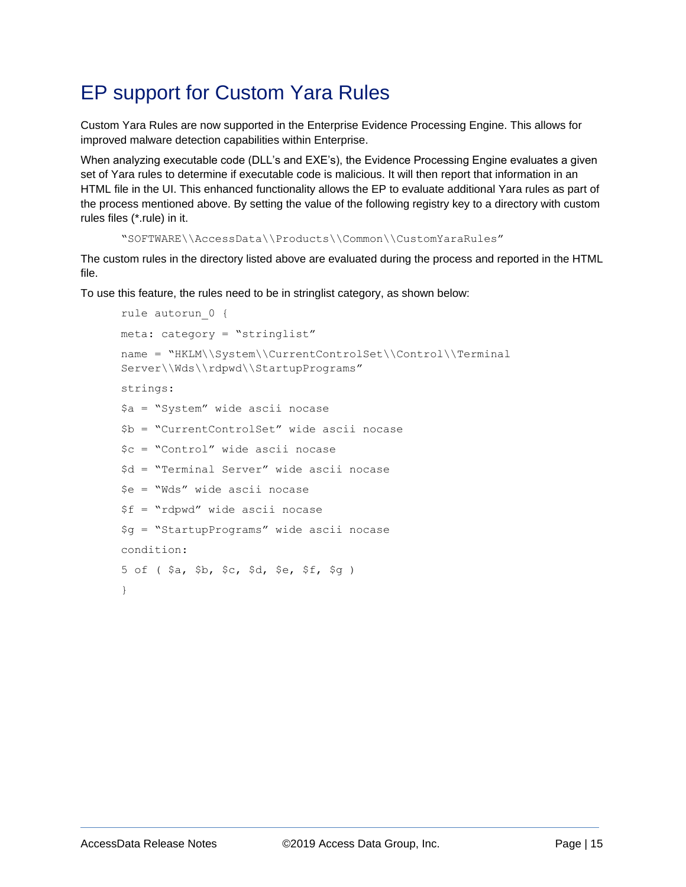## EP support for Custom Yara Rules

Custom Yara Rules are now supported in the Enterprise Evidence Processing Engine. This allows for improved malware detection capabilities within Enterprise.

When analyzing executable code (DLL's and EXE's), the Evidence Processing Engine evaluates a given set of Yara rules to determine if executable code is malicious. It will then report that information in an HTML file in the UI. This enhanced functionality allows the EP to evaluate additional Yara rules as part of the process mentioned above. By setting the value of the following registry key to a directory with custom rules files (\*.rule) in it.

```
"SOFTWARE\\AccessData\\Products\\Common\\CustomYaraRules"
```
The custom rules in the directory listed above are evaluated during the process and reported in the HTML file.

To use this feature, the rules need to be in stringlist category, as shown below:

```
rule autorun_0 {
meta: category = "stringlist"
name = "HKLM\\System\\CurrentControlSet\\Control\\Terminal
Server\\Wds\\rdpwd\\StartupPrograms"
strings:
$a = "System" wide ascii nocase
$b = "CurrentControlSet" wide ascii nocase
$c = "Control" wide ascii nocase
$d = "Terminal Server" wide ascii nocase
$e = "Wds" wide ascii nocase
$f = "rdpwd" wide ascii nocase
$g = "StartupPrograms" wide ascii nocase
condition:
5 of ( $a, $b, $c, $d, $e, $f, $g )
}
```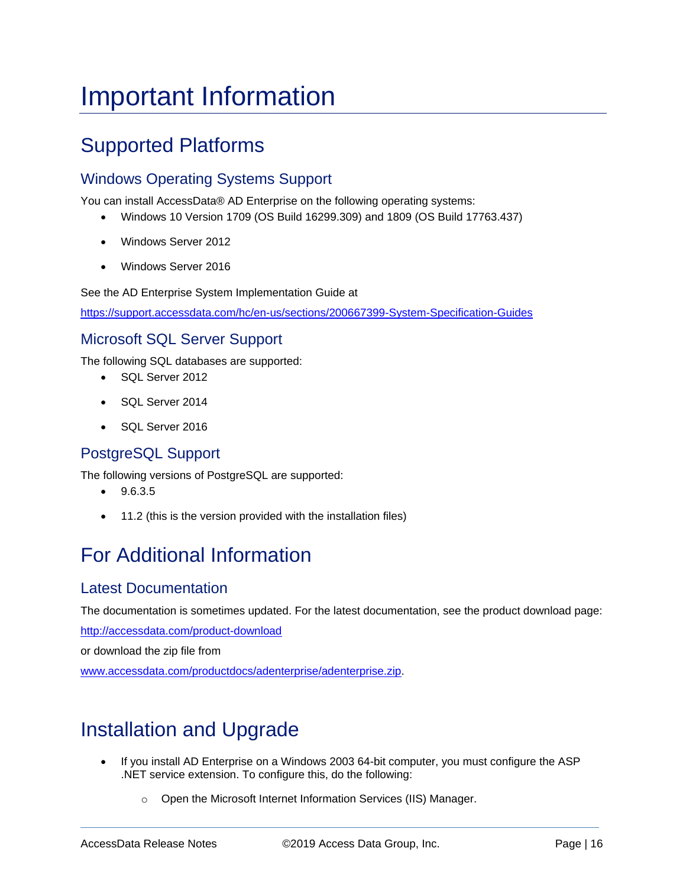# <span id="page-15-0"></span>Important Information

## Supported Platforms

### Windows Operating Systems Support

You can install AccessData® AD Enterprise on the following operating systems:

- Windows 10 Version 1709 (OS Build 16299.309) and 1809 (OS Build 17763.437)
- Windows Server 2012
- Windows Server 2016

See the AD Enterprise System Implementation Guide at

<https://support.accessdata.com/hc/en-us/sections/200667399-System-Specification-Guides>

#### Microsoft SQL Server Support

The following SQL databases are supported:

- SQL Server 2012
- SQL Server 2014
- SQL Server 2016

### PostgreSQL Support

The following versions of PostgreSQL are supported:

- $•$  9.6.3.5
- 11.2 (this is the version provided with the installation files)

## For Additional Information

#### Latest Documentation

The documentation is sometimes updated. For the latest documentation, see the product download page:

<http://accessdata.com/product-download>

or download the zip file from

[www.accessdata.com/productdocs/adenterprise/adenterprise.zip.](file://buildstore/documentation/Working_Copy/Forensics/FTK_Lab_Pro_Ent/Current/7.x/Release_Notes/7_1/www.accessdata.com/productdocs/adenterprise/adenterprise.zip)

### Installation and Upgrade

- If you install AD Enterprise on a Windows 2003 64-bit computer, you must configure the ASP .NET service extension. To configure this, do the following:
	- o Open the Microsoft Internet Information Services (IIS) Manager.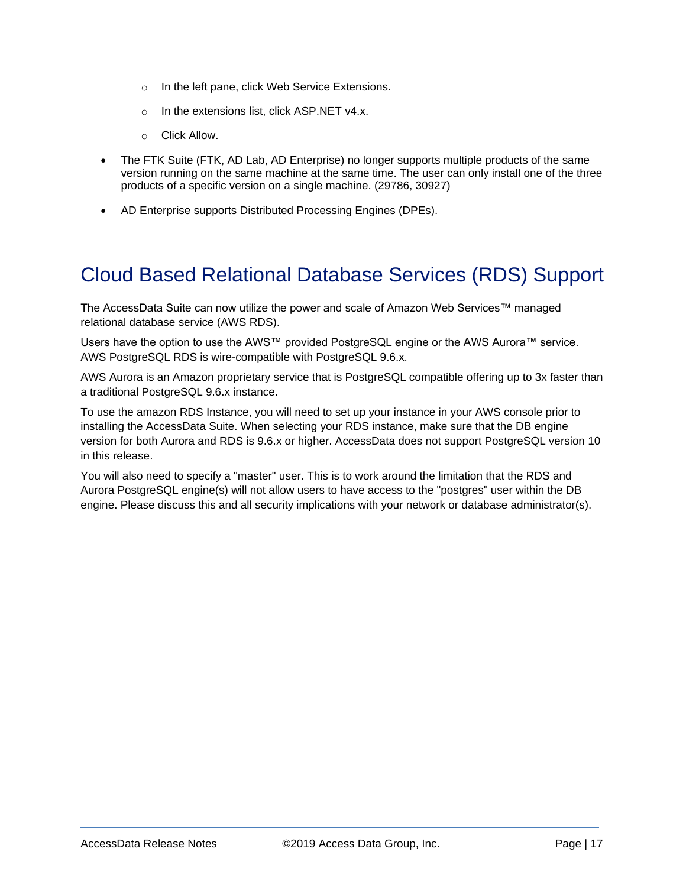- o In the left pane, click Web Service Extensions.
- o In the extensions list, click ASP.NET v4.x.
- o Click Allow.
- The FTK Suite (FTK, AD Lab, AD Enterprise) no longer supports multiple products of the same version running on the same machine at the same time. The user can only install one of the three products of a specific version on a single machine. (29786, 30927)
- AD Enterprise supports Distributed Processing Engines (DPEs).

### <span id="page-16-0"></span>Cloud Based Relational Database Services (RDS) Support

The AccessData Suite can now utilize the power and scale of Amazon Web Services™ managed relational database service (AWS RDS).

Users have the option to use the AWS™ provided PostgreSQL engine or the AWS Aurora™ service. AWS PostgreSQL RDS is wire-compatible with PostgreSQL 9.6.x.

AWS Aurora is an Amazon proprietary service that is PostgreSQL compatible offering up to 3x faster than a traditional PostgreSQL 9.6.x instance.

To use the amazon RDS Instance, you will need to set up your instance in your AWS console prior to installing the AccessData Suite. When selecting your RDS instance, make sure that the DB engine version for both Aurora and RDS is 9.6.x or higher. AccessData does not support PostgreSQL version 10 in this release.

You will also need to specify a "master" user. This is to work around the limitation that the RDS and Aurora PostgreSQL engine(s) will not allow users to have access to the "postgres" user within the DB engine. Please discuss this and all security implications with your network or database administrator(s).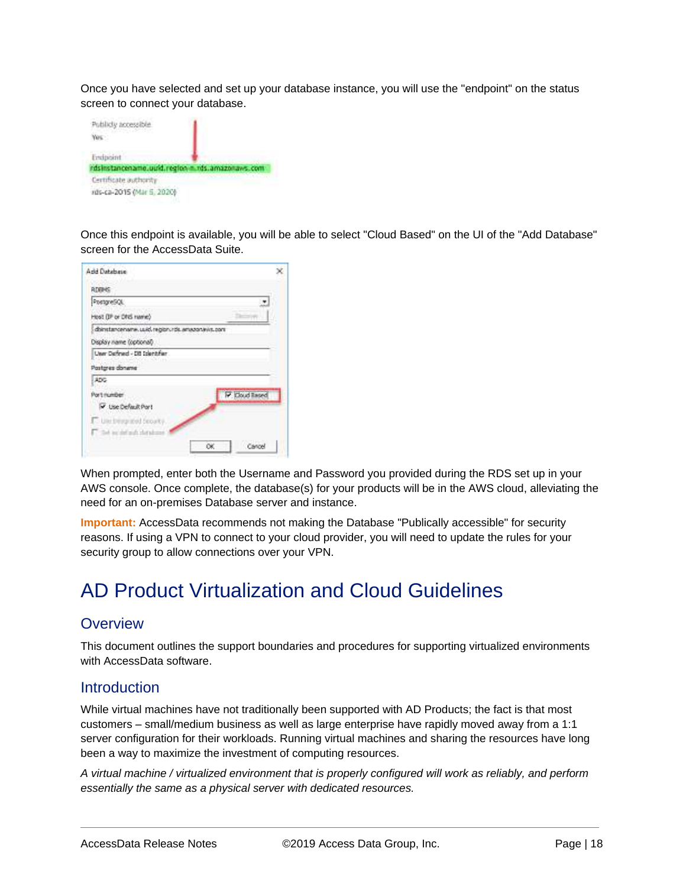Once you have selected and set up your database instance, you will use the "endpoint" on the status screen to connect your database.



Once this endpoint is available, you will be able to select "Cloud Based" on the UI of the "Add Database" screen for the AccessData Suite.

| Add Database                                      |                |
|---------------------------------------------------|----------------|
| RDBHS                                             |                |
| PostgreSQL                                        |                |
| Host (IP or DNS name)                             |                |
| doinstancename, used, regionurds, amazonavis, com |                |
| Display name (cotional)                           |                |
| Unar Dafraud - Dit Inlentifier                    |                |
| Pastgres doname                                   |                |
| ADC-                                              |                |
| Port number                                       | IP Cloud Rased |
| V Use Default Port                                |                |
| <b>C</b> Use this project became                  |                |
| The residuals detailed                            |                |
|                                                   |                |

When prompted, enter both the Username and Password you provided during the RDS set up in your AWS console. Once complete, the database(s) for your products will be in the AWS cloud, alleviating the need for an on-premises Database server and instance.

**Important:** AccessData recommends not making the Database "Publically accessible" for security reasons. If using a VPN to connect to your cloud provider, you will need to update the rules for your security group to allow connections over your VPN.

### <span id="page-17-0"></span>AD Product Virtualization and Cloud Guidelines

#### **Overview**

This document outlines the support boundaries and procedures for supporting virtualized environments with AccessData software.

#### **Introduction**

While virtual machines have not traditionally been supported with AD Products; the fact is that most customers – small/medium business as well as large enterprise have rapidly moved away from a 1:1 server configuration for their workloads. Running virtual machines and sharing the resources have long been a way to maximize the investment of computing resources.

*A virtual machine / virtualized environment that is properly configured will work as reliably, and perform essentially the same as a physical server with dedicated resources.*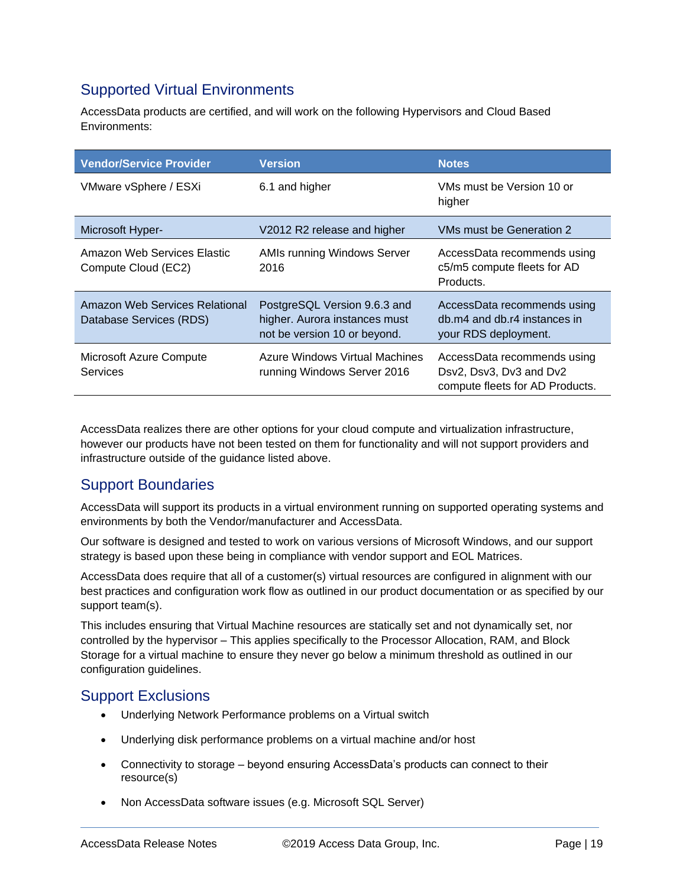### Supported Virtual Environments

AccessData products are certified, and will work on the following Hypervisors and Cloud Based Environments:

| <b>Vendor/Service Provider</b>                            | <b>Version</b>                                                                                | <b>Notes</b>                                                                              |
|-----------------------------------------------------------|-----------------------------------------------------------------------------------------------|-------------------------------------------------------------------------------------------|
| VMware vSphere / ESXi                                     | 6.1 and higher                                                                                | VMs must be Version 10 or<br>higher                                                       |
| Microsoft Hyper-                                          | V2012 R2 release and higher                                                                   | VMs must be Generation 2                                                                  |
| Amazon Web Services Elastic<br>Compute Cloud (EC2)        | <b>AMIs running Windows Server</b><br>2016                                                    | AccessData recommends using<br>c5/m5 compute fleets for AD<br>Products.                   |
| Amazon Web Services Relational<br>Database Services (RDS) | PostgreSQL Version 9.6.3 and<br>higher. Aurora instances must<br>not be version 10 or beyond. | AccessData recommends using<br>db.m4 and db.r4 instances in<br>your RDS deployment.       |
| Microsoft Azure Compute<br>Services                       | Azure Windows Virtual Machines<br>running Windows Server 2016                                 | AccessData recommends using<br>Dsv2, Dsv3, Dv3 and Dv2<br>compute fleets for AD Products. |

AccessData realizes there are other options for your cloud compute and virtualization infrastructure, however our products have not been tested on them for functionality and will not support providers and infrastructure outside of the guidance listed above.

### Support Boundaries

AccessData will support its products in a virtual environment running on supported operating systems and environments by both the Vendor/manufacturer and AccessData.

Our software is designed and tested to work on various versions of Microsoft Windows, and our support strategy is based upon these being in compliance with vendor support and EOL Matrices.

AccessData does require that all of a customer(s) virtual resources are configured in alignment with our best practices and configuration work flow as outlined in our product documentation or as specified by our support team(s).

This includes ensuring that Virtual Machine resources are statically set and not dynamically set, nor controlled by the hypervisor – This applies specifically to the Processor Allocation, RAM, and Block Storage for a virtual machine to ensure they never go below a minimum threshold as outlined in our configuration guidelines.

#### Support Exclusions

- Underlying Network Performance problems on a Virtual switch
- Underlying disk performance problems on a virtual machine and/or host
- Connectivity to storage beyond ensuring AccessData's products can connect to their resource(s)
- Non AccessData software issues (e.g. Microsoft SQL Server)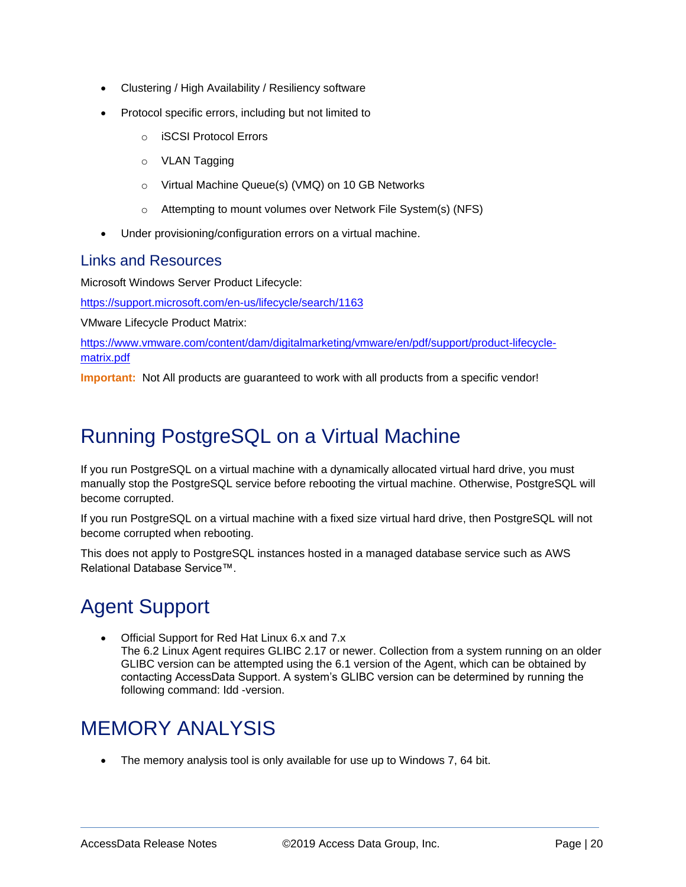- Clustering / High Availability / Resiliency software
- Protocol specific errors, including but not limited to
	- o iSCSI Protocol Errors
	- o VLAN Tagging
	- o Virtual Machine Queue(s) (VMQ) on 10 GB Networks
	- o Attempting to mount volumes over Network File System(s) (NFS)
- Under provisioning/configuration errors on a virtual machine.

#### Links and Resources

Microsoft Windows Server Product Lifecycle:

<https://support.microsoft.com/en-us/lifecycle/search/1163>

VMware Lifecycle Product Matrix:

[https://www.vmware.com/content/dam/digitalmarketing/vmware/en/pdf/support/product-lifecycle](https://www.vmware.com/content/dam/digitalmarketing/vmware/en/pdf/support/product-lifecycle-matrix.pdf)[matrix.pdf](https://www.vmware.com/content/dam/digitalmarketing/vmware/en/pdf/support/product-lifecycle-matrix.pdf)

**Important:** Not All products are guaranteed to work with all products from a specific vendor!

## Running PostgreSQL on a Virtual Machine

If you run PostgreSQL on a virtual machine with a dynamically allocated virtual hard drive, you must manually stop the PostgreSQL service before rebooting the virtual machine. Otherwise, PostgreSQL will become corrupted.

If you run PostgreSQL on a virtual machine with a fixed size virtual hard drive, then PostgreSQL will not become corrupted when rebooting.

This does not apply to PostgreSQL instances hosted in a managed database service such as AWS Relational Database Service™.

## Agent Support

 Official Support for Red Hat Linux 6.x and 7.x The 6.2 Linux Agent requires GLIBC 2.17 or newer. Collection from a system running on an older GLIBC version can be attempted using the 6.1 version of the Agent, which can be obtained by contacting AccessData Support. A system's GLIBC version can be determined by running the following command: Idd -version.

## MEMORY ANALYSIS

The memory analysis tool is only available for use up to Windows 7, 64 bit.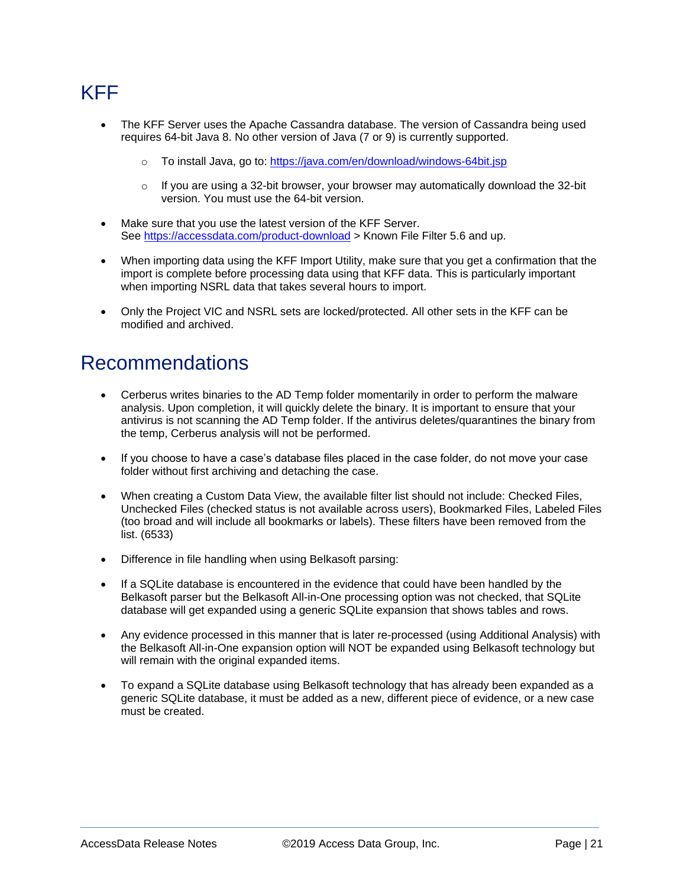## KFF

- The KFF Server uses the Apache Cassandra database. The version of Cassandra being used requires 64-bit Java 8. No other version of Java (7 or 9) is currently supported.
	- To install Java, go to:<https://java.com/en/download/windows-64bit.jsp>
	- $\circ$  If you are using a 32-bit browser, your browser may automatically download the 32-bit version. You must use the 64-bit version.
- Make sure that you use the latest version of the KFF Server. See<https://accessdata.com/product-download> > Known File Filter 5.6 and up.
- When importing data using the KFF Import Utility, make sure that you get a confirmation that the import is complete before processing data using that KFF data. This is particularly important when importing NSRL data that takes several hours to import.
- Only the Project VIC and NSRL sets are locked/protected. All other sets in the KFF can be modified and archived.

### Recommendations

- Cerberus writes binaries to the AD Temp folder momentarily in order to perform the malware analysis. Upon completion, it will quickly delete the binary. It is important to ensure that your antivirus is not scanning the AD Temp folder. If the antivirus deletes/quarantines the binary from the temp, Cerberus analysis will not be performed.
- If you choose to have a case's database files placed in the case folder, do not move your case folder without first archiving and detaching the case.
- When creating a Custom Data View, the available filter list should not include: Checked Files, Unchecked Files (checked status is not available across users), Bookmarked Files, Labeled Files (too broad and will include all bookmarks or labels). These filters have been removed from the list. (6533)
- Difference in file handling when using Belkasoft parsing:
- If a SQLite database is encountered in the evidence that could have been handled by the Belkasoft parser but the Belkasoft All-in-One processing option was not checked, that SQLite database will get expanded using a generic SQLite expansion that shows tables and rows.
- Any evidence processed in this manner that is later re-processed (using Additional Analysis) with the Belkasoft All-in-One expansion option will NOT be expanded using Belkasoft technology but will remain with the original expanded items.
- To expand a SQLite database using Belkasoft technology that has already been expanded as a generic SQLite database, it must be added as a new, different piece of evidence, or a new case must be created.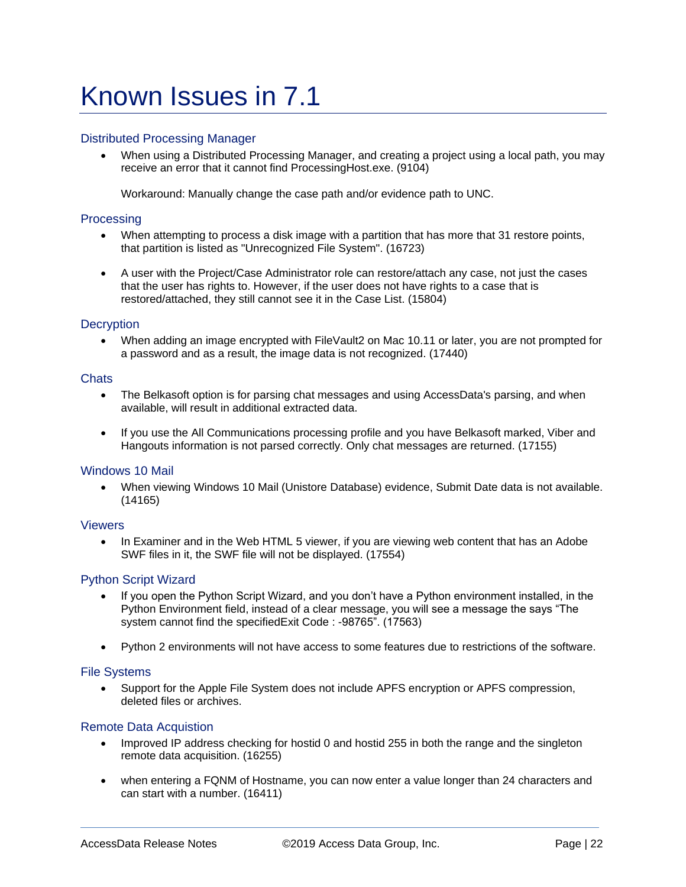# Known Issues in 7.1

#### Distributed Processing Manager

 When using a Distributed Processing Manager, and creating a project using a local path, you may receive an error that it cannot find ProcessingHost.exe. (9104)

Workaround: Manually change the case path and/or evidence path to UNC.

#### **Processing**

- When attempting to process a disk image with a partition that has more that 31 restore points, that partition is listed as "Unrecognized File System". (16723)
- A user with the Project/Case Administrator role can restore/attach any case, not just the cases that the user has rights to. However, if the user does not have rights to a case that is restored/attached, they still cannot see it in the Case List. (15804)

#### **Decryption**

 When adding an image encrypted with FileVault2 on Mac 10.11 or later, you are not prompted for a password and as a result, the image data is not recognized. (17440)

#### **Chats**

- The Belkasoft option is for parsing chat messages and using AccessData's parsing, and when available, will result in additional extracted data.
- If you use the All Communications processing profile and you have Belkasoft marked, Viber and Hangouts information is not parsed correctly. Only chat messages are returned. (17155)

#### Windows 10 Mail

 When viewing Windows 10 Mail (Unistore Database) evidence, Submit Date data is not available. (14165)

#### Viewers

• In Examiner and in the Web HTML 5 viewer, if you are viewing web content that has an Adobe SWF files in it, the SWF file will not be displayed. (17554)

#### Python Script Wizard

- If you open the Python Script Wizard, and you don't have a Python environment installed, in the Python Environment field, instead of a clear message, you will see a message the says "The system cannot find the specifiedExit Code : -98765". (17563)
- Python 2 environments will not have access to some features due to restrictions of the software.

#### File Systems

 Support for the Apple File System does not include APFS encryption or APFS compression, deleted files or archives.

#### Remote Data Acquistion

- Improved IP address checking for hostid 0 and hostid 255 in both the range and the singleton remote data acquisition. (16255)
- when entering a FQNM of Hostname, you can now enter a value longer than 24 characters and can start with a number. (16411)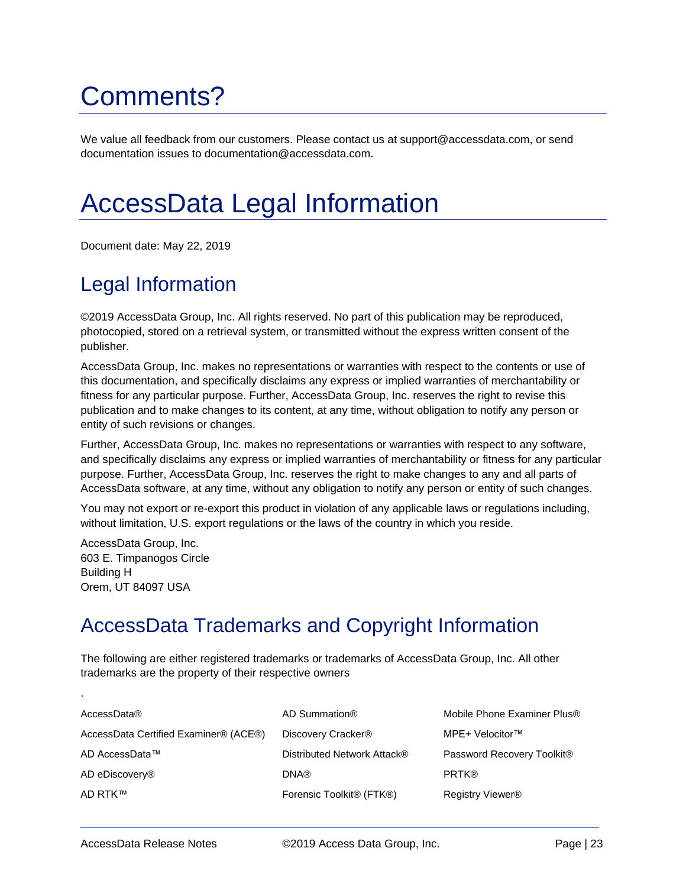# Comments?

We value all feedback from our customers. Please contact us at support@accessdata.com, or send documentation issues to documentation@accessdata.com.

# AccessData Legal Information

Document date: May 22, 2019

## Legal Information

©2019 AccessData Group, Inc. All rights reserved. No part of this publication may be reproduced, photocopied, stored on a retrieval system, or transmitted without the express written consent of the publisher.

AccessData Group, Inc. makes no representations or warranties with respect to the contents or use of this documentation, and specifically disclaims any express or implied warranties of merchantability or fitness for any particular purpose. Further, AccessData Group, Inc. reserves the right to revise this publication and to make changes to its content, at any time, without obligation to notify any person or entity of such revisions or changes.

Further, AccessData Group, Inc. makes no representations or warranties with respect to any software, and specifically disclaims any express or implied warranties of merchantability or fitness for any particular purpose. Further, AccessData Group, Inc. reserves the right to make changes to any and all parts of AccessData software, at any time, without any obligation to notify any person or entity of such changes.

You may not export or re-export this product in violation of any applicable laws or regulations including, without limitation, U.S. export regulations or the laws of the country in which you reside.

AccessData Group, Inc. 603 E. Timpanogos Circle Building H Orem, UT 84097 USA

.

## AccessData Trademarks and Copyright Information

The following are either registered trademarks or trademarks of AccessData Group, Inc. All other trademarks are the property of their respective owners

| AccessData®                           | AD Summation®                                     | Mobile Phone Examiner Plus®  |
|---------------------------------------|---------------------------------------------------|------------------------------|
| AccessData Certified Examiner® (ACE®) | Discovery Cracker <sup>®</sup>                    | MPE+ Velocitor™              |
| AD AccessData™                        | Distributed Network Attack®                       | Password Recovery Toolkit®   |
| AD eDiscovery <sup>®</sup>            | <b>DNA®</b>                                       | <b>PRTK®</b>                 |
| AD RTK™                               | Forensic Toolkit <sup>®</sup> (FTK <sup>®</sup> ) | Registry Viewer <sup>®</sup> |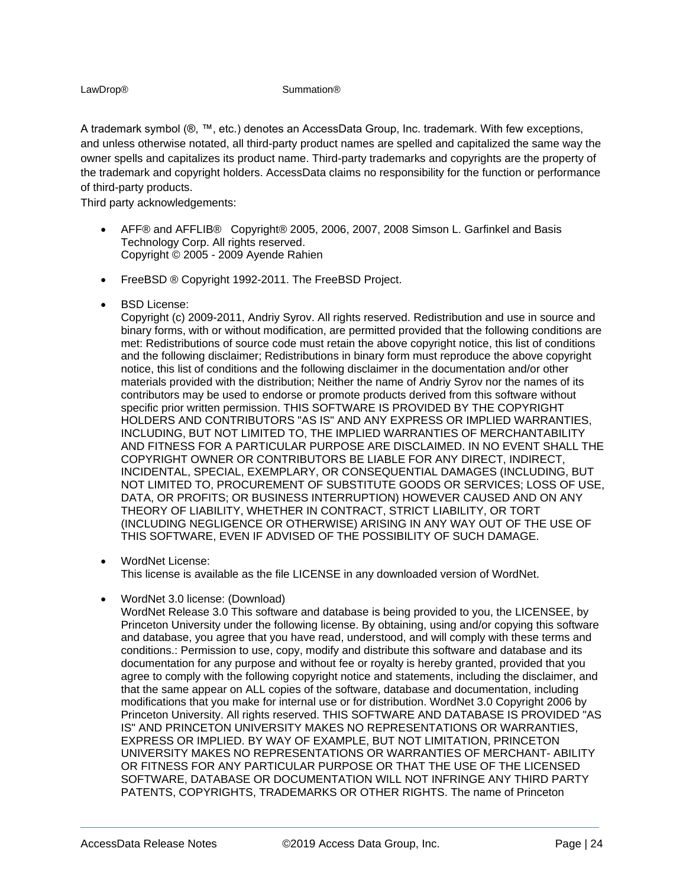#### LawDrop® Summation®

A trademark symbol (®, ™, etc.) denotes an AccessData Group, Inc. trademark. With few exceptions, and unless otherwise notated, all third-party product names are spelled and capitalized the same way the owner spells and capitalizes its product name. Third-party trademarks and copyrights are the property of the trademark and copyright holders. AccessData claims no responsibility for the function or performance of third-party products.

Third party acknowledgements:

- AFF® and AFFLIB® Copyright® 2005, 2006, 2007, 2008 Simson L. Garfinkel and Basis Technology Corp. All rights reserved. Copyright © 2005 - 2009 Ayende Rahien
- **•** FreeBSD ® Copyright 1992-2011. The FreeBSD Project.
- BSD License:

Copyright (c) 2009-2011, Andriy Syrov. All rights reserved. Redistribution and use in source and binary forms, with or without modification, are permitted provided that the following conditions are met: Redistributions of source code must retain the above copyright notice, this list of conditions and the following disclaimer; Redistributions in binary form must reproduce the above copyright notice, this list of conditions and the following disclaimer in the documentation and/or other materials provided with the distribution; Neither the name of Andriy Syrov nor the names of its contributors may be used to endorse or promote products derived from this software without specific prior written permission. THIS SOFTWARE IS PROVIDED BY THE COPYRIGHT HOLDERS AND CONTRIBUTORS "AS IS" AND ANY EXPRESS OR IMPLIED WARRANTIES, INCLUDING, BUT NOT LIMITED TO, THE IMPLIED WARRANTIES OF MERCHANTABILITY AND FITNESS FOR A PARTICULAR PURPOSE ARE DISCLAIMED. IN NO EVENT SHALL THE COPYRIGHT OWNER OR CONTRIBUTORS BE LIABLE FOR ANY DIRECT, INDIRECT, INCIDENTAL, SPECIAL, EXEMPLARY, OR CONSEQUENTIAL DAMAGES (INCLUDING, BUT NOT LIMITED TO, PROCUREMENT OF SUBSTITUTE GOODS OR SERVICES; LOSS OF USE, DATA, OR PROFITS; OR BUSINESS INTERRUPTION) HOWEVER CAUSED AND ON ANY THEORY OF LIABILITY, WHETHER IN CONTRACT, STRICT LIABILITY, OR TORT (INCLUDING NEGLIGENCE OR OTHERWISE) ARISING IN ANY WAY OUT OF THE USE OF THIS SOFTWARE, EVEN IF ADVISED OF THE POSSIBILITY OF SUCH DAMAGE.

- WordNet License: This license is available as the file LICENSE in any downloaded version of WordNet.
- WordNet 3.0 license: (Download)

WordNet Release 3.0 This software and database is being provided to you, the LICENSEE, by Princeton University under the following license. By obtaining, using and/or copying this software and database, you agree that you have read, understood, and will comply with these terms and conditions.: Permission to use, copy, modify and distribute this software and database and its documentation for any purpose and without fee or royalty is hereby granted, provided that you agree to comply with the following copyright notice and statements, including the disclaimer, and that the same appear on ALL copies of the software, database and documentation, including modifications that you make for internal use or for distribution. WordNet 3.0 Copyright 2006 by Princeton University. All rights reserved. THIS SOFTWARE AND DATABASE IS PROVIDED "AS IS" AND PRINCETON UNIVERSITY MAKES NO REPRESENTATIONS OR WARRANTIES, EXPRESS OR IMPLIED. BY WAY OF EXAMPLE, BUT NOT LIMITATION, PRINCETON UNIVERSITY MAKES NO REPRESENTATIONS OR WARRANTIES OF MERCHANT- ABILITY OR FITNESS FOR ANY PARTICULAR PURPOSE OR THAT THE USE OF THE LICENSED SOFTWARE, DATABASE OR DOCUMENTATION WILL NOT INFRINGE ANY THIRD PARTY PATENTS, COPYRIGHTS, TRADEMARKS OR OTHER RIGHTS. The name of Princeton